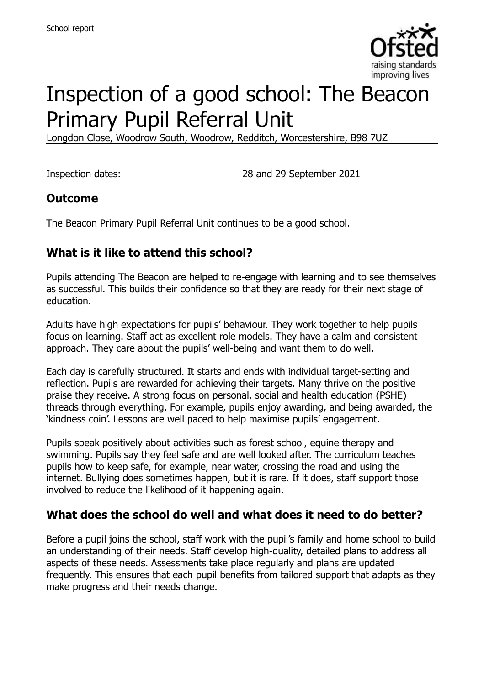

# Inspection of a good school: The Beacon Primary Pupil Referral Unit

Longdon Close, Woodrow South, Woodrow, Redditch, Worcestershire, B98 7UZ

Inspection dates: 28 and 29 September 2021

#### **Outcome**

The Beacon Primary Pupil Referral Unit continues to be a good school.

#### **What is it like to attend this school?**

Pupils attending The Beacon are helped to re-engage with learning and to see themselves as successful. This builds their confidence so that they are ready for their next stage of education.

Adults have high expectations for pupils' behaviour. They work together to help pupils focus on learning. Staff act as excellent role models. They have a calm and consistent approach. They care about the pupils' well-being and want them to do well.

Each day is carefully structured. It starts and ends with individual target-setting and reflection. Pupils are rewarded for achieving their targets. Many thrive on the positive praise they receive. A strong focus on personal, social and health education (PSHE) threads through everything. For example, pupils enjoy awarding, and being awarded, the 'kindness coin'. Lessons are well paced to help maximise pupils' engagement.

Pupils speak positively about activities such as forest school, equine therapy and swimming. Pupils say they feel safe and are well looked after. The curriculum teaches pupils how to keep safe, for example, near water, crossing the road and using the internet. Bullying does sometimes happen, but it is rare. If it does, staff support those involved to reduce the likelihood of it happening again.

#### **What does the school do well and what does it need to do better?**

Before a pupil joins the school, staff work with the pupil's family and home school to build an understanding of their needs. Staff develop high-quality, detailed plans to address all aspects of these needs. Assessments take place regularly and plans are updated frequently. This ensures that each pupil benefits from tailored support that adapts as they make progress and their needs change.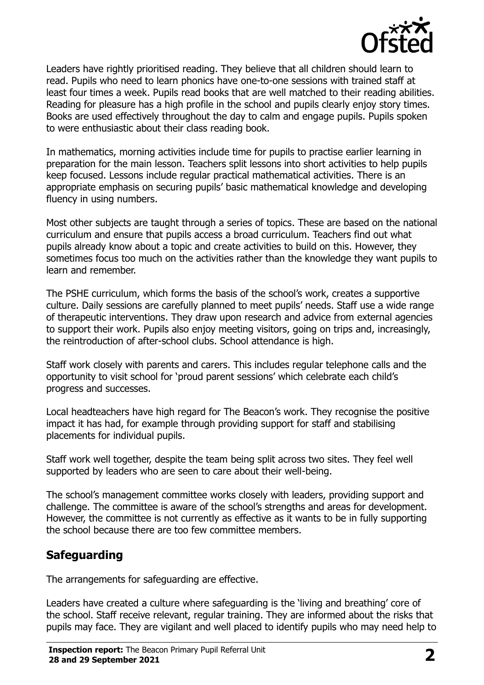

Leaders have rightly prioritised reading. They believe that all children should learn to read. Pupils who need to learn phonics have one-to-one sessions with trained staff at least four times a week. Pupils read books that are well matched to their reading abilities. Reading for pleasure has a high profile in the school and pupils clearly enjoy story times. Books are used effectively throughout the day to calm and engage pupils. Pupils spoken to were enthusiastic about their class reading book.

In mathematics, morning activities include time for pupils to practise earlier learning in preparation for the main lesson. Teachers split lessons into short activities to help pupils keep focused. Lessons include regular practical mathematical activities. There is an appropriate emphasis on securing pupils' basic mathematical knowledge and developing fluency in using numbers.

Most other subjects are taught through a series of topics. These are based on the national curriculum and ensure that pupils access a broad curriculum. Teachers find out what pupils already know about a topic and create activities to build on this. However, they sometimes focus too much on the activities rather than the knowledge they want pupils to learn and remember.

The PSHE curriculum, which forms the basis of the school's work, creates a supportive culture. Daily sessions are carefully planned to meet pupils' needs. Staff use a wide range of therapeutic interventions. They draw upon research and advice from external agencies to support their work. Pupils also enjoy meeting visitors, going on trips and, increasingly, the reintroduction of after-school clubs. School attendance is high.

Staff work closely with parents and carers. This includes regular telephone calls and the opportunity to visit school for 'proud parent sessions' which celebrate each child's progress and successes.

Local headteachers have high regard for The Beacon's work. They recognise the positive impact it has had, for example through providing support for staff and stabilising placements for individual pupils.

Staff work well together, despite the team being split across two sites. They feel well supported by leaders who are seen to care about their well-being.

The school's management committee works closely with leaders, providing support and challenge. The committee is aware of the school's strengths and areas for development. However, the committee is not currently as effective as it wants to be in fully supporting the school because there are too few committee members.

#### **Safeguarding**

The arrangements for safeguarding are effective.

Leaders have created a culture where safeguarding is the 'living and breathing' core of the school. Staff receive relevant, regular training. They are informed about the risks that pupils may face. They are vigilant and well placed to identify pupils who may need help to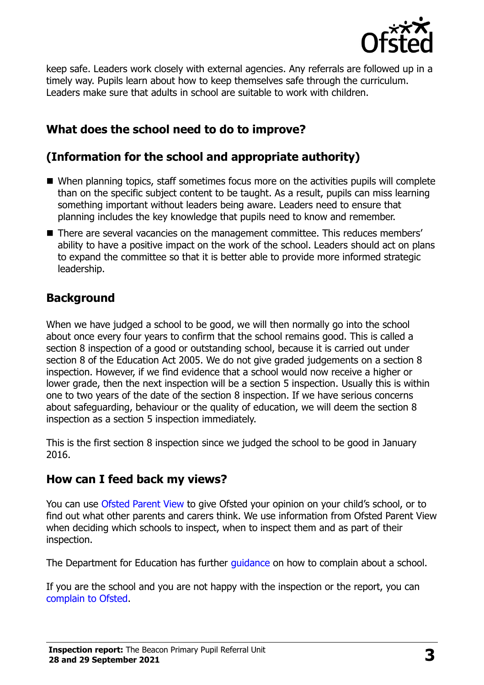

keep safe. Leaders work closely with external agencies. Any referrals are followed up in a timely way. Pupils learn about how to keep themselves safe through the curriculum. Leaders make sure that adults in school are suitable to work with children.

## **What does the school need to do to improve?**

## **(Information for the school and appropriate authority)**

- When planning topics, staff sometimes focus more on the activities pupils will complete than on the specific subject content to be taught. As a result, pupils can miss learning something important without leaders being aware. Leaders need to ensure that planning includes the key knowledge that pupils need to know and remember.
- There are several vacancies on the management committee. This reduces members' ability to have a positive impact on the work of the school. Leaders should act on plans to expand the committee so that it is better able to provide more informed strategic leadership.

#### **Background**

When we have judged a school to be good, we will then normally go into the school about once every four years to confirm that the school remains good. This is called a section 8 inspection of a good or outstanding school, because it is carried out under section 8 of the Education Act 2005. We do not give graded judgements on a section 8 inspection. However, if we find evidence that a school would now receive a higher or lower grade, then the next inspection will be a section 5 inspection. Usually this is within one to two years of the date of the section 8 inspection. If we have serious concerns about safeguarding, behaviour or the quality of education, we will deem the section 8 inspection as a section 5 inspection immediately.

This is the first section 8 inspection since we judged the school to be good in January 2016.

#### **How can I feed back my views?**

You can use [Ofsted Parent View](https://parentview.ofsted.gov.uk/) to give Ofsted your opinion on your child's school, or to find out what other parents and carers think. We use information from Ofsted Parent View when deciding which schools to inspect, when to inspect them and as part of their inspection.

The Department for Education has further quidance on how to complain about a school.

If you are the school and you are not happy with the inspection or the report, you can [complain to Ofsted.](https://www.gov.uk/complain-ofsted-report)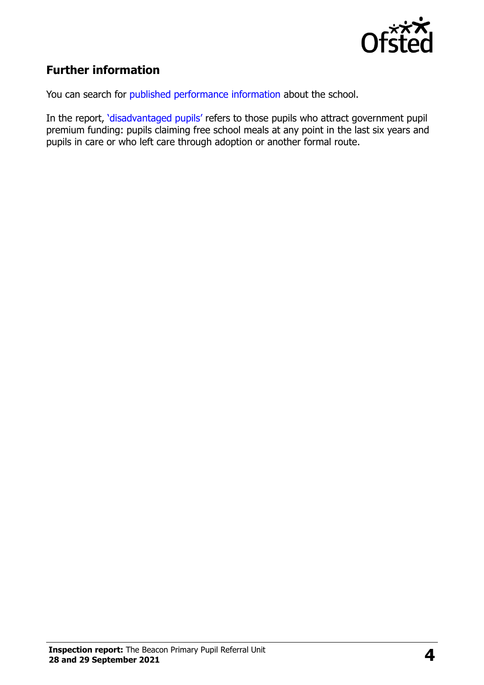

## **Further information**

You can search for [published performance information](http://www.compare-school-performance.service.gov.uk/) about the school.

In the report, '[disadvantaged pupils](http://www.gov.uk/guidance/pupil-premium-information-for-schools-and-alternative-provision-settings)' refers to those pupils who attract government pupil premium funding: pupils claiming free school meals at any point in the last six years and pupils in care or who left care through adoption or another formal route.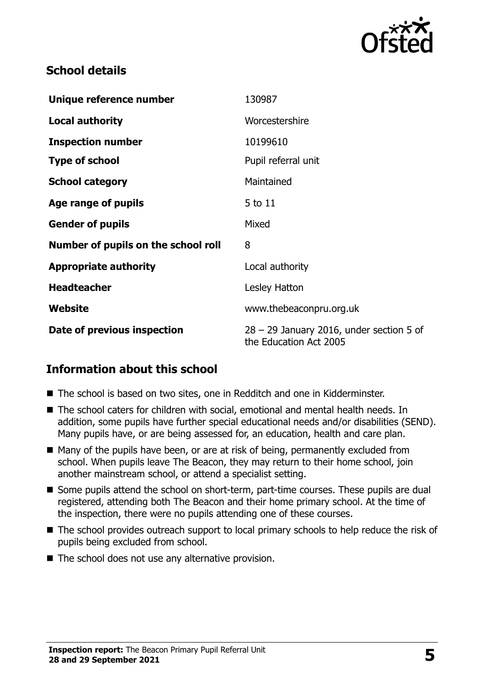

#### **School details**

| Unique reference number             | 130987                                                               |
|-------------------------------------|----------------------------------------------------------------------|
| <b>Local authority</b>              | Worcestershire                                                       |
| <b>Inspection number</b>            | 10199610                                                             |
| <b>Type of school</b>               | Pupil referral unit                                                  |
| <b>School category</b>              | Maintained                                                           |
| Age range of pupils                 | 5 to 11                                                              |
| <b>Gender of pupils</b>             | Mixed                                                                |
| Number of pupils on the school roll | 8                                                                    |
| <b>Appropriate authority</b>        | Local authority                                                      |
| <b>Headteacher</b>                  | Lesley Hatton                                                        |
| Website                             | www.thebeaconpru.org.uk                                              |
| Date of previous inspection         | $28 - 29$ January 2016, under section 5 of<br>the Education Act 2005 |

#### **Information about this school**

- The school is based on two sites, one in Redditch and one in Kidderminster.
- The school caters for children with social, emotional and mental health needs. In addition, some pupils have further special educational needs and/or disabilities (SEND). Many pupils have, or are being assessed for, an education, health and care plan.
- $\blacksquare$  Many of the pupils have been, or are at risk of being, permanently excluded from school. When pupils leave The Beacon, they may return to their home school, join another mainstream school, or attend a specialist setting.
- Some pupils attend the school on short-term, part-time courses. These pupils are dual registered, attending both The Beacon and their home primary school. At the time of the inspection, there were no pupils attending one of these courses.
- The school provides outreach support to local primary schools to help reduce the risk of pupils being excluded from school.
- $\blacksquare$  The school does not use any alternative provision.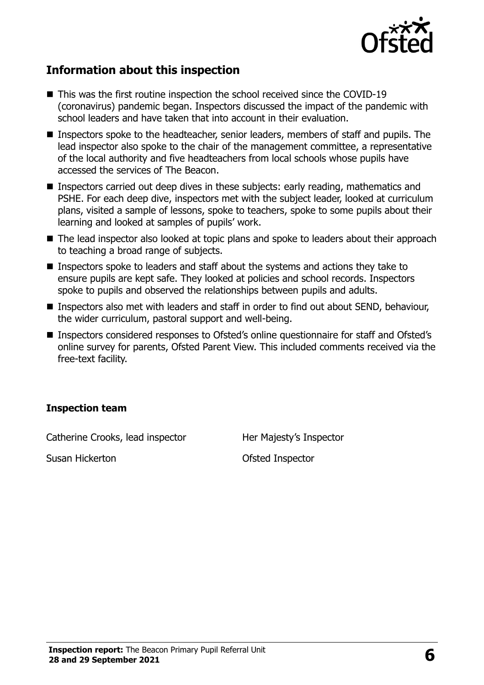

#### **Information about this inspection**

- This was the first routine inspection the school received since the COVID-19 (coronavirus) pandemic began. Inspectors discussed the impact of the pandemic with school leaders and have taken that into account in their evaluation.
- Inspectors spoke to the headteacher, senior leaders, members of staff and pupils. The lead inspector also spoke to the chair of the management committee, a representative of the local authority and five headteachers from local schools whose pupils have accessed the services of The Beacon.
- **Inspectors carried out deep dives in these subjects: early reading, mathematics and** PSHE. For each deep dive, inspectors met with the subject leader, looked at curriculum plans, visited a sample of lessons, spoke to teachers, spoke to some pupils about their learning and looked at samples of pupils' work.
- The lead inspector also looked at topic plans and spoke to leaders about their approach to teaching a broad range of subjects.
- Inspectors spoke to leaders and staff about the systems and actions they take to ensure pupils are kept safe. They looked at policies and school records. Inspectors spoke to pupils and observed the relationships between pupils and adults.
- Inspectors also met with leaders and staff in order to find out about SEND, behaviour, the wider curriculum, pastoral support and well-being.
- Inspectors considered responses to Ofsted's online questionnaire for staff and Ofsted's online survey for parents, Ofsted Parent View. This included comments received via the free-text facility.

#### **Inspection team**

Catherine Crooks, lead inspector Her Majesty's Inspector

Susan Hickerton **Contact Susan Hickerton Contact Susan Hickerton**